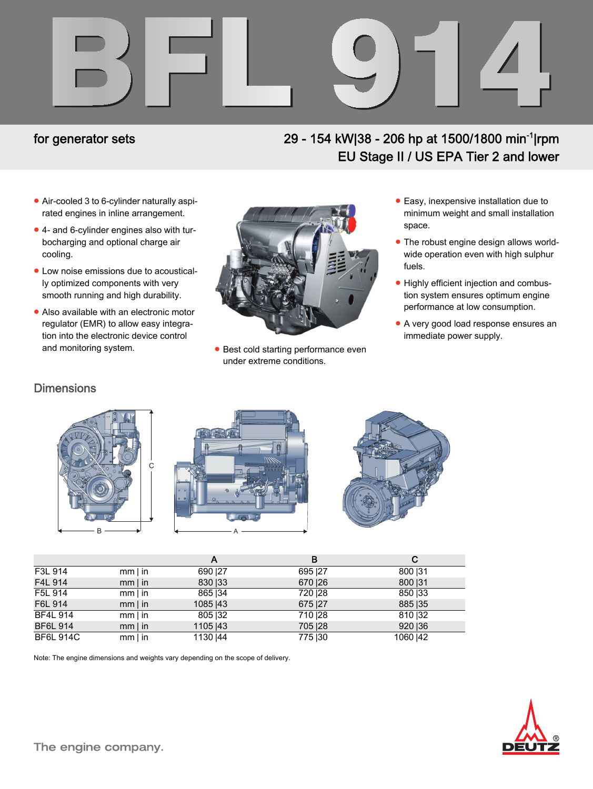

## for generator sets

## 29 - 154 kW|38 - 206 hp at 1500/1800 min<sup>-1</sup>|rpm EU Stage II / US EPA Tier 2 and lower

- Air-cooled 3 to 6-cylinder naturally aspirated engines in inline arrangement.
- 4- and 6-cylinder engines also with turbocharging and optional charge air cooling.
- Low noise emissions due to acoustically optimized components with very smooth running and high durability.
- Also available with an electronic motor regulator (EMR) to allow easy integration into the electronic device control and monitoring system. The starting performance even



under extreme conditions.

- Easy, inexpensive installation due to minimum weight and small installation space.
- The robust engine design allows worldwide operation even with high sulphur fuels.
- Highly efficient injection and combustion system ensures optimum engine performance at low consumption.
- A very good load response ensures an immediate power supply.

#### **Dimensions**







|                  |              | Α         | в        | С         |
|------------------|--------------|-----------|----------|-----------|
| F3L 914          | $mm \mid in$ | 690   27  | 695 27   | 800   31  |
| F4L 914          | $mm \mid in$ | 830   33  | 670   26 | 800   31  |
| F5L 914          | $mm$   in    | 865   34  | 720   28 | 850   33  |
| F6L 914          | $mm$   in    | 1085   43 | 675   27 | 885   35  |
| <b>BF4L 914</b>  | $mm \mid in$ | 805   32  | 710   28 | 810   32  |
| <b>BF6L 914</b>  | $mm$   in    | 1105   43 | 705   28 | 920   36  |
| <b>BF6L 914C</b> | $mm \mid in$ | 1130   44 | 775   30 | 1060   42 |

Note: The engine dimensions and weights vary depending on the scope of delivery.

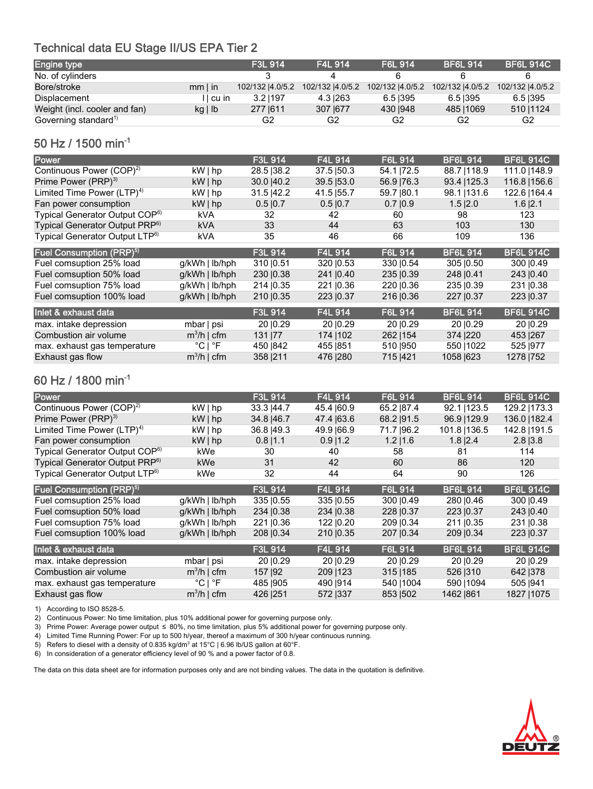#### Technical data EU Stage II/US EPA Tier 2

| Engine type                      |           | <b>F3L 914</b>   | <b>F4L 914</b> | F6L 914                           | <b>BF6L 914</b>  | <b>BF6L 914C</b> |
|----------------------------------|-----------|------------------|----------------|-----------------------------------|------------------|------------------|
| No. of cylinders                 |           |                  |                |                                   |                  |                  |
| Bore/stroke                      | $mm$ l in | 102/132  4.0/5.2 |                | 102/132  4.0/5.2 102/132  4.0/5.2 | 102/132  4.0/5.2 | 102/132 4.0/5.2  |
| <b>Displacement</b>              | ∣l cu in  | 3.21197          | 4.3 263        | 6.51395                           | 6.51395          | 6.5 395          |
| Weight (incl. cooler and fan)    | kg   lb   | 277 1611         | 307 1677       | 430 1948                          | 485   1069       | 510   1124       |
| Governing standard <sup>1)</sup> |           | G2               | G2             | G2                                | G2               | G2               |

### 50 Hz / 1500 min-1

| Power                                       |                             | F3L 914        | F4L 914        | F6L 914     | <b>BF6L 914</b> | <b>BF6L 914C</b> |
|---------------------------------------------|-----------------------------|----------------|----------------|-------------|-----------------|------------------|
| Continuous Power (COP) <sup>2)</sup>        | kW   hp                     | 28.5 38.2      | 37.5 50.3      | 54.1 72.5   | 88.7   118.9    | 111.0   148.9    |
| Prime Power (PRP) <sup>3)</sup>             | $kW $ hp                    | 30.0   40.2    | 39.5   53.0    | 56.9   76.3 | 93.4   125.3    | 116.8   156.6    |
| Limited Time Power $(LTP)^{4}$              | $kW \mid hp$                | 31.5 42.2      | 41.5   55.7    | 59.7   80.1 | 98.1   131.6    | 122.6   164.4    |
| Fan power consumption                       | $kW $ hp                    | 0.5 0.7        | $0.5 \,   0.7$ | 0.7 0.9     | $1.5$ $ 2.0$    | $1.6$ $ 2.1$     |
| Typical Generator Output COP <sup>6)</sup>  | kVA                         | 32             | 42             | 60          | 98              | 123              |
| Typical Generator Output PRP <sup>6)</sup>  | <b>kVA</b>                  | 33             | 44             | 63          | 103             | 130              |
| Typical Generator Output LTP <sup>6)</sup>  | kVA                         | 35             | 46             | 66          | 109             | 136              |
| <b>Fuel Consumption (PRP)</b> <sup>5)</sup> |                             | <b>F3L 914</b> | F4L 914        | F6L 914     | <b>BF6L 914</b> | <b>BF6L 914C</b> |
| Fuel comsuption 25% load                    | $q/kWh$   $lb/hph$          | 310   0.51     | 320 10.53      | 330   0.54  | 305 10.50       | 300   0.49       |
| Fuel comsuption 50% load                    | $q/kWh$   $lb/hph$          | 230   0.38     | 241 0.40       | 235 0.39    | 248 0.41        | 243   0.40       |
| Fuel comsuption 75% load                    | $g/kWh$   lb/hph            | 214   0.35     | 221 0.36       | 220 10.36   | 235   0.39      | 231 0.38         |
| Fuel comsuption 100% load                   | $q/kWh$   $lb/hph$          | 210   0.35     | 223 10.37      | 216   0.36  | 227   0.37      | 223   0.37       |
| Inlet & exhaust data                        |                             | F3L 914        | F4L 914        | F6L 914     | <b>BF6L 914</b> | <b>BF6L 914C</b> |
| max. intake depression                      | mbar   psi                  | 20 10.29       | 20 10.29       | 20 10.29    | 20 10.29        | 20   0.29        |
| Combustion air volume                       | $m^3/h$   cfm               | 131   77       | 174   102      | 262   154   | 374 220         | 453 267          |
| max. exhaust gas temperature                | $^{\circ}$ C I $^{\circ}$ F | 450   842      | 455   851      | 510   950   | 550   1022      | 525   977        |
| Exhaust gas flow                            | $m^3/h$   cfm               | 358 211        | 476   280      | 715 421     | 1058 623        | 1278   752       |

#### 60 Hz / 1800 min-1

| Power                                      |                             | F3L 914     | <b>F4L 914</b> | F6L 914     | <b>BF6L 914</b> | <b>BF6L 914C</b> |
|--------------------------------------------|-----------------------------|-------------|----------------|-------------|-----------------|------------------|
| Continuous Power (COP) <sup>2)</sup>       | $kW $ hp                    | 33.3   44.7 | 45.4   60.9    | 65.2   87.4 | 92.1   123.5    | 129.2   173.3    |
| Prime Power (PRP) <sup>3)</sup>            | $kW $ hp                    | 34.8   46.7 | 47.4 63.6      | 68.2   91.5 | 96.9   129.9    | 136.0   182.4    |
| Limited Time Power $(LTP)^{4}$             | kW   hp                     | 36.8   49.3 | 49.9 66.9      | 71.7   96.2 | 101.8   136.5   | 142.8   191.5    |
| Fan power consumption                      | $kW$   hp                   | $0.8$  1.1  | $0.9$  1.2     | $1.2$  1.6  | $1.8$  2.4      | $2.8$ $ 3.8$     |
| Typical Generator Output COP <sup>6)</sup> | kWe                         | 30          | 40             | 58          | 81              | 114              |
| Typical Generator Output PRP <sup>6)</sup> | kWe                         | 31          | 42             | 60          | 86              | 120              |
| Typical Generator Output LTP <sup>6)</sup> | kWe                         | 32          | 44             | 64          | 90              | 126              |
| Fuel Consumption (PRP) <sup>5)</sup>       |                             | F3L 914     | F4L 914        | F6L 914     | <b>BF6L 914</b> | <b>BF6L 914C</b> |
| Fuel comsuption 25% load                   | $q/kWh$   $lb/hph$          | 335 10.55   | 335 10.55      | 300 10.49   | 280   0.46      | 300   0.49       |
| Fuel comsuption 50% load                   | $q/kWh$   $lb/hph$          | 234   0.38  | 234   0.38     | 228   0.37  | 223   0.37      | 243   0.40       |
| Fuel comsuption 75% load                   | g/kWh   lb/hph              | 221   0.36  | 122   0.20     | 209   0.34  | 211   0.35      | 231   0.38       |
| Fuel comsuption 100% load                  | $q/kWh$   $lb/hph$          | 208   0.34  | 210   0.35     | 207   0.34  | 209   0.34      | 223   0.37       |
| Inlet & exhaust data                       |                             | F3L 914     | F4L 914        | F6L 914     | <b>BF6L 914</b> | <b>BF6L 914C</b> |
| max. intake depression                     | mbar   psi                  | 20   0.29   | 20   0.29      | 20   0.29   | 20   0.29       | 20   0.29        |
| Combustion air volume                      | $m^3/h$   cfm               | 157   92    | 209   123      | 315   185   | 526 310         | 642   378        |
| max. exhaust gas temperature               | $^{\circ}$ C   $^{\circ}$ F | 485   905   | 490   914      | 540   1004  | 590   1094      | 505   941        |
| Exhaust gas flow                           | $m^3/h$   cfm               | 426   251   | 572   337      | 853   502   | 1462   861      | 1827   1075      |

1) According to ISO 8528-5.

2) Continuous Power: No time limitation, plus 10% additional power for governing purpose only.

3) Prime Power: Average power output ≤ 80%, no time limitation, plus 5% additional power for governing purpose only.

4) Limited Time Running Power: For up to 500 h/year, thereof a maximum of 300 h/year continuous running.

5) Refers to diesel with a density of 0.835 kg/dm<sup>3</sup> at 15°C | 6.96 lb/US gallon at 60°F.

6) In consideration of a generator efficiency level of 90 % and a power factor of 0.8.

The data on this data sheet are for information purposes only and are not binding values. The data in the quotation is definitive.

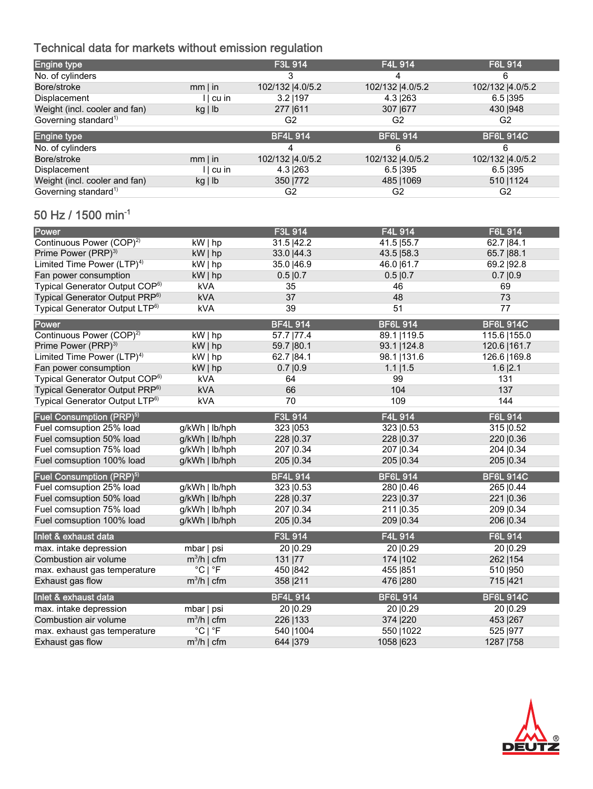# Technical data for markets without emission regulation

| <b>Engine type</b>                         |                             | F3L 914           | F4L 914          | F6L 914           |
|--------------------------------------------|-----------------------------|-------------------|------------------|-------------------|
| No. of cylinders                           |                             | 3                 | 4                | 6                 |
| Bore/stroke                                | $mm \mid in$                | 102/132   4.0/5.2 | 102/132  4.0/5.2 | 102/132   4.0/5.2 |
| Displacement                               | $  \cdot  $ cu in           | $3.2$   197       | 4.3   263        | $6.5$  395        |
| Weight (incl. cooler and fan)              | kg lb                       | 277   611         | 307   677        | 430   948         |
| Governing standard <sup>1)</sup>           |                             | G <sub>2</sub>    | G <sub>2</sub>   | G <sub>2</sub>    |
| <b>Engine type</b>                         |                             | <b>BF4L 914</b>   | <b>BF6L 914</b>  | <b>BF6L 914C</b>  |
| No. of cylinders                           |                             | 4                 | 6                | 6                 |
| Bore/stroke                                | $mm \mid in$                | 102/132   4.0/5.2 | 102/132  4.0/5.2 | 102/132   4.0/5.2 |
| Displacement                               | $  \cdot  $ cu in           | 4.3   263         | $6.5$  395       | $6.5$  395        |
| Weight (incl. cooler and fan)              | kg lb                       | 350   772         | 485   1069       | 510   1124        |
| Governing standard <sup>1)</sup>           |                             | G <sub>2</sub>    | G <sub>2</sub>   | G <sub>2</sub>    |
| 50 Hz / 1500 min <sup>-1</sup>             |                             |                   |                  |                   |
| Power                                      |                             | F3L 914           | F4L 914          | F6L 914           |
| Continuous Power (COP) <sup>2)</sup>       | kW   hp                     | 31.5   42.2       | 41.5   55.7      | 62.7   84.1       |
| Prime Power (PRP) <sup>3)</sup>            | $kW $ hp                    | 33.0   44.3       | 43.5   58.3      | 65.7   88.1       |
| Limited Time Power (LTP) <sup>4)</sup>     | kW   hp                     | 35.0   46.9       | 46.0 61.7        | 69.2   92.8       |
| Fan power consumption                      | $kW $ hp                    | 0.5 0.7           | 0.5 0.7          | 0.7 0.9           |
| Typical Generator Output COP <sup>6)</sup> | kVA                         | 35                | 46               | 69                |
| Typical Generator Output PRP <sup>6)</sup> | kVA                         | 37                | 48               | 73                |
| Typical Generator Output LTP <sup>6)</sup> | <b>kVA</b>                  | 39                | 51               | 77                |
| Power                                      |                             | <b>BF4L 914</b>   | <b>BF6L 914</b>  | <b>BF6L 914C</b>  |
| Continuous Power (COP) <sup>2)</sup>       | kW   hp                     | 57.7   77.4       | 89.1   119.5     | 115.6   155.0     |
| Prime Power (PRP) <sup>3)</sup>            | $kW $ hp                    | 59.7   80.1       | 93.1   124.8     | 120.6   161.7     |
| Limited Time Power (LTP) <sup>4)</sup>     | $kW $ hp                    | 62.7   84.1       | 98.1   131.6     | 126.6   169.8     |
| Fan power consumption                      | $kW $ hp                    | 0.7 0.9           | $1.1$   $1.5$    | $1.6$  2.1        |
| Typical Generator Output COP <sup>6)</sup> | kVA                         | 64                | 99               | 131               |
| Typical Generator Output PRP <sup>6)</sup> | kVA                         | 66                | 104              | 137               |
| Typical Generator Output LTP <sup>6)</sup> | <b>kVA</b>                  | 70                | 109              | 144               |
| Fuel Consumption (PRP) <sup>5)</sup>       |                             | F3L 914           | F4L 914          | F6L 914           |
| Fuel comsuption 25% load                   | g/kWh   lb/hph              | 323   053         | 323   0.53       | 315   0.52        |
| Fuel comsuption 50% load                   | g/kWh   lb/hph              | 228   0.37        | 228   0.37       | 220   0.36        |
| Fuel comsuption 75% load                   | g/kWh   lb/hph              | 207   0.34        | 207   0.34       | 204   0.34        |
| Fuel comsuption 100% load                  | g/kWh   lb/hph              | 205   0.34        | 205   0.34       | 205   0.34        |
| Fuel Consumption (PRP) <sup>5)</sup>       |                             | <b>BF4L 914</b>   | <b>BF6L 914</b>  | <b>BF6L 914C</b>  |
| Fuel comsuption 25% load                   | g/kWh   lb/hph              | 323   0.53        | 280   0.46       | 265   0.44        |
| Fuel comsuption 50% load                   | g/kWh   lb/hph              | 228   0.37        | 223   0.37       | 221   0.36        |
| Fuel comsuption 75% load                   | g/kWh   lb/hph              | 207   0.34        | 211   0.35       | 209   0.34        |
| Fuel comsuption 100% load                  | g/kWh   lb/hph              | 205   0.34        | 209   0.34       | 206   0.34        |
| Inlet & exhaust data                       |                             | F3L 914           | F4L 914          | F6L 914           |
| max. intake depression                     | mbar   psi                  | 20   0.29         | 20   0.29        | 20   0.29         |
| Combustion air volume                      | $m^3/h$   cfm               | 131   77          | 174   102        | 262   154         |
| max. exhaust gas temperature               | $^{\circ}$ C   $^{\circ}$ F | 450   842         | 455   851        | 510   950         |
| Exhaust gas flow                           | $m^3/h$   cfm               | 358   211         | 476   280        | 715   421         |
| Inlet & exhaust data                       |                             | <b>BF4L 914</b>   | <b>BF6L 914</b>  | <b>BF6L 914C</b>  |
| max. intake depression                     | mbar   psi                  | 20   0.29         | 20   0.29        | 20   0.29         |
| Combustion air volume                      | $m^3/h$   cfm               | 226   133         | 374   220        | 453   267         |
| max. exhaust gas temperature               | $^{\circ}$ C   $^{\circ}$ F | 540   1004        | 550   1022       | 525   977         |
| Exhaust gas flow                           | $m^3/h$   cfm               | 644   379         | 1058   623       | 1287   758        |